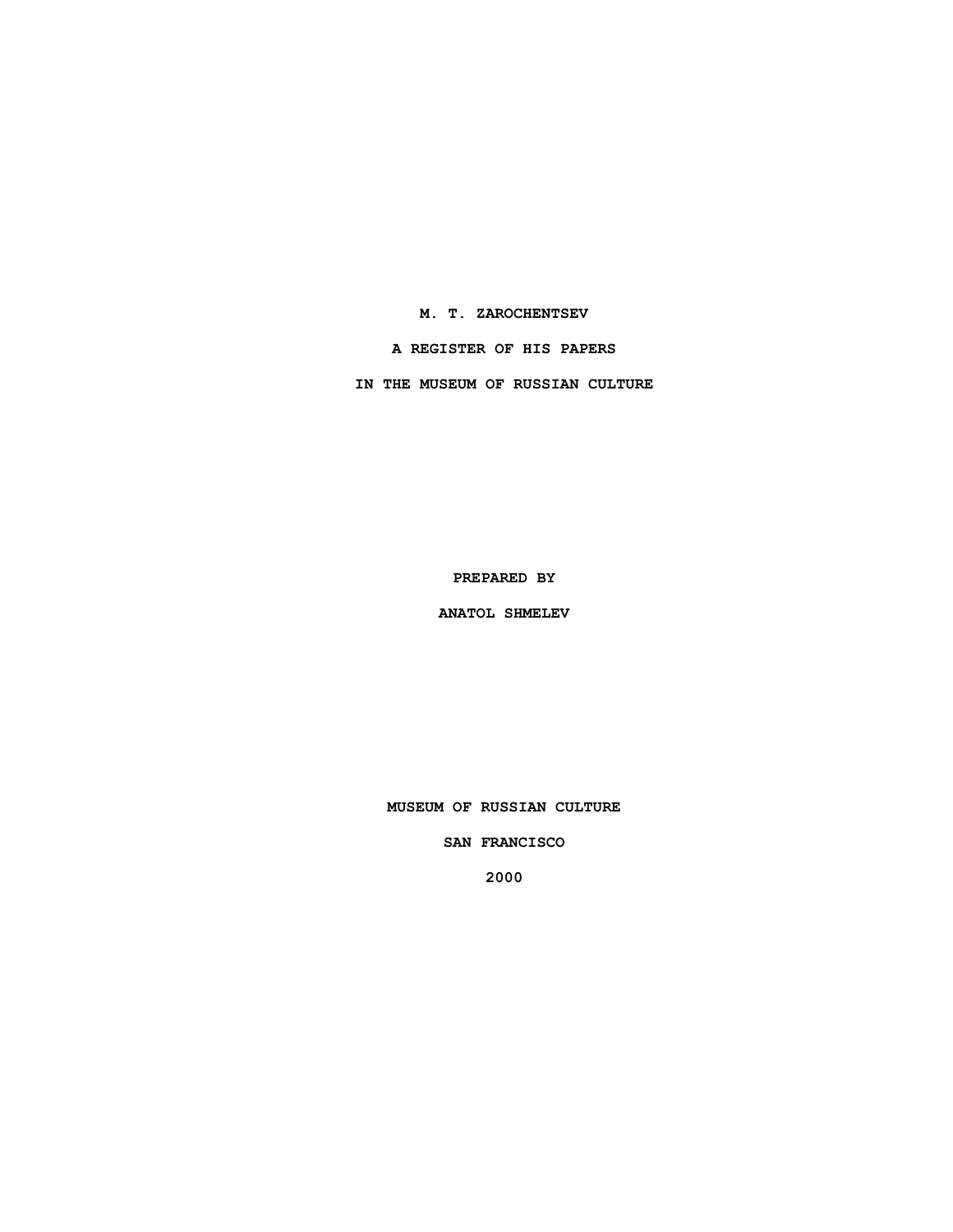**M. T. ZAROCHENTSEV**

**A REGISTER OF HIS PAPERS**

**IN THE MUSEUM OF RUSSIAN CULTURE**

**PREPARED BY**

**ANATOL SHMELEV**

**MUSEUM OF RUSSIAN CULTURE**

**SAN FRANCISCO**

**2000**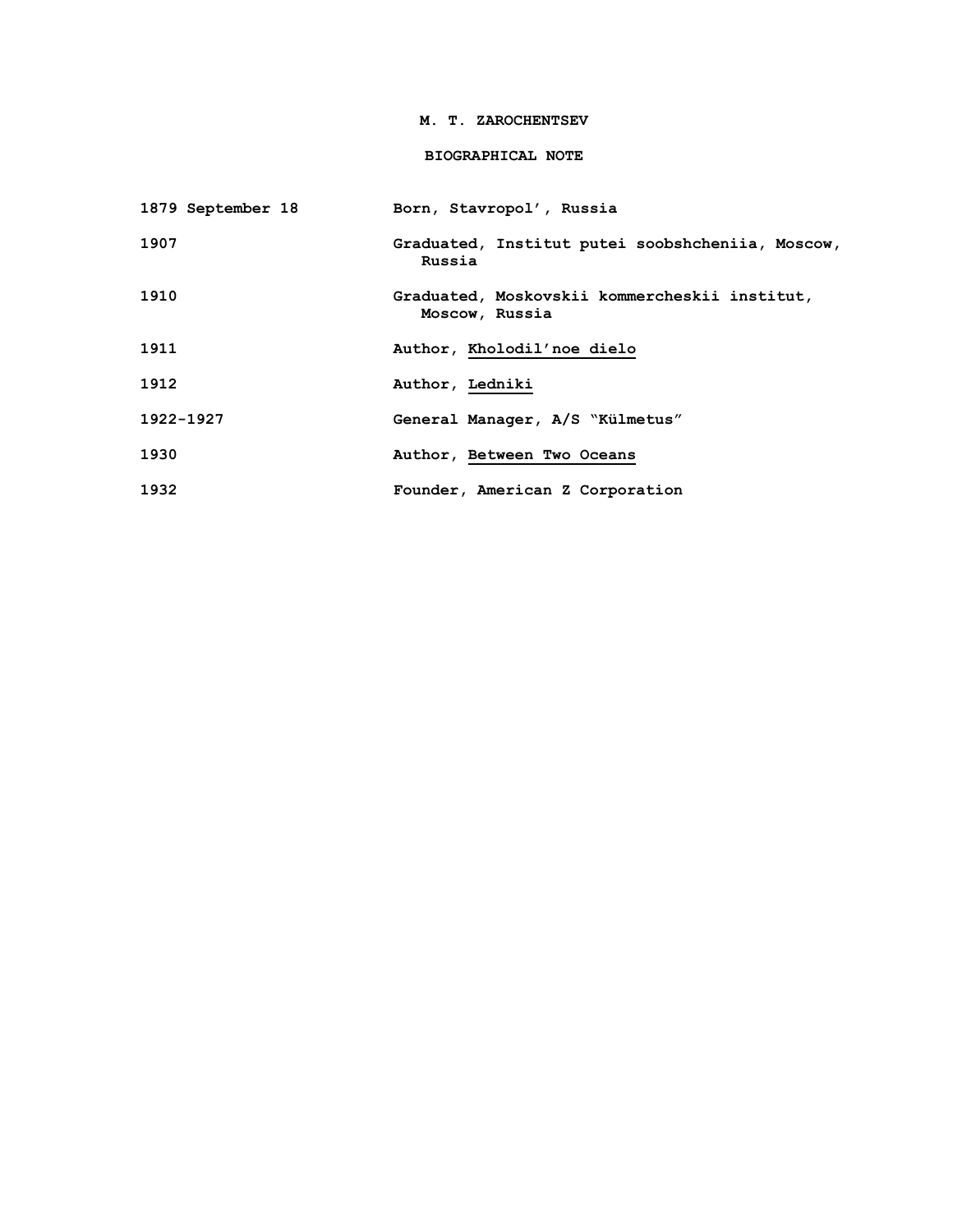### **M. T. ZAROCHENTSEV**

# **BIOGRAPHICAL NOTE**

| 1879 September 18 | Born, Stavropol', Russia                                        |
|-------------------|-----------------------------------------------------------------|
| 1907              | Graduated, Institut putei soobshcheniia, Moscow,<br>Russia      |
| 1910              | Graduated, Moskovskii kommercheskii institut,<br>Moscow, Russia |
| 1911              | Author, Kholodil'noe dielo                                      |
| 1912              | Author, Ledniki                                                 |
| 1922-1927         | General Manager, A/S "Külmetus"                                 |
| 1930              | Author, Between Two Oceans                                      |
| 1932              | Founder, American Z Corporation                                 |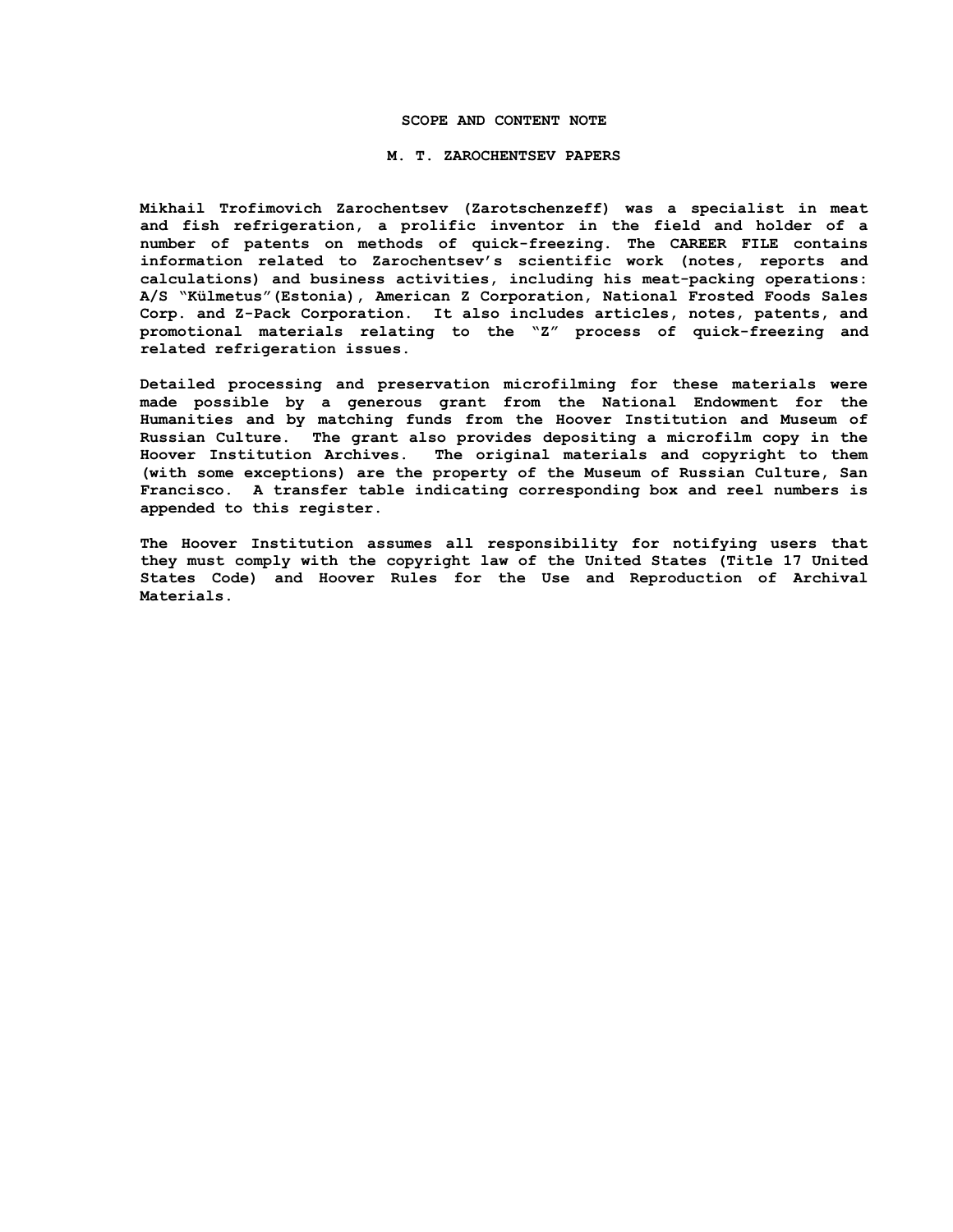#### **SCOPE AND CONTENT NOTE**

### **M. T. ZAROCHENTSEV PAPERS**

**Mikhail Trofimovich Zarochentsev (Zarotschenzeff) was a specialist in meat and fish refrigeration, a prolific inventor in the field and holder of a number of patents on methods of quick-freezing. The CAREER FILE contains information related to Zarochentsev's scientific work (notes, reports and calculations) and business activities, including his meat-packing operations: A/S "Külmetus"(Estonia), American Z Corporation, National Frosted Foods Sales Corp. and Z-Pack Corporation. It also includes articles, notes, patents, and promotional materials relating to the "Z" process of quick-freezing and related refrigeration issues.**

**Detailed processing and preservation microfilming for these materials were made possible by a generous grant from the National Endowment for the Humanities and by matching funds from the Hoover Institution and Museum of Russian Culture. The grant also provides depositing a microfilm copy in the Hoover Institution Archives. The original materials and copyright to them (with some exceptions) are the property of the Museum of Russian Culture, San Francisco. A transfer table indicating corresponding box and reel numbers is appended to this register.**

**The Hoover Institution assumes all responsibility for notifying users that they must comply with the copyright law of the United States (Title 17 United States Code) and Hoover Rules for the Use and Reproduction of Archival Materials.**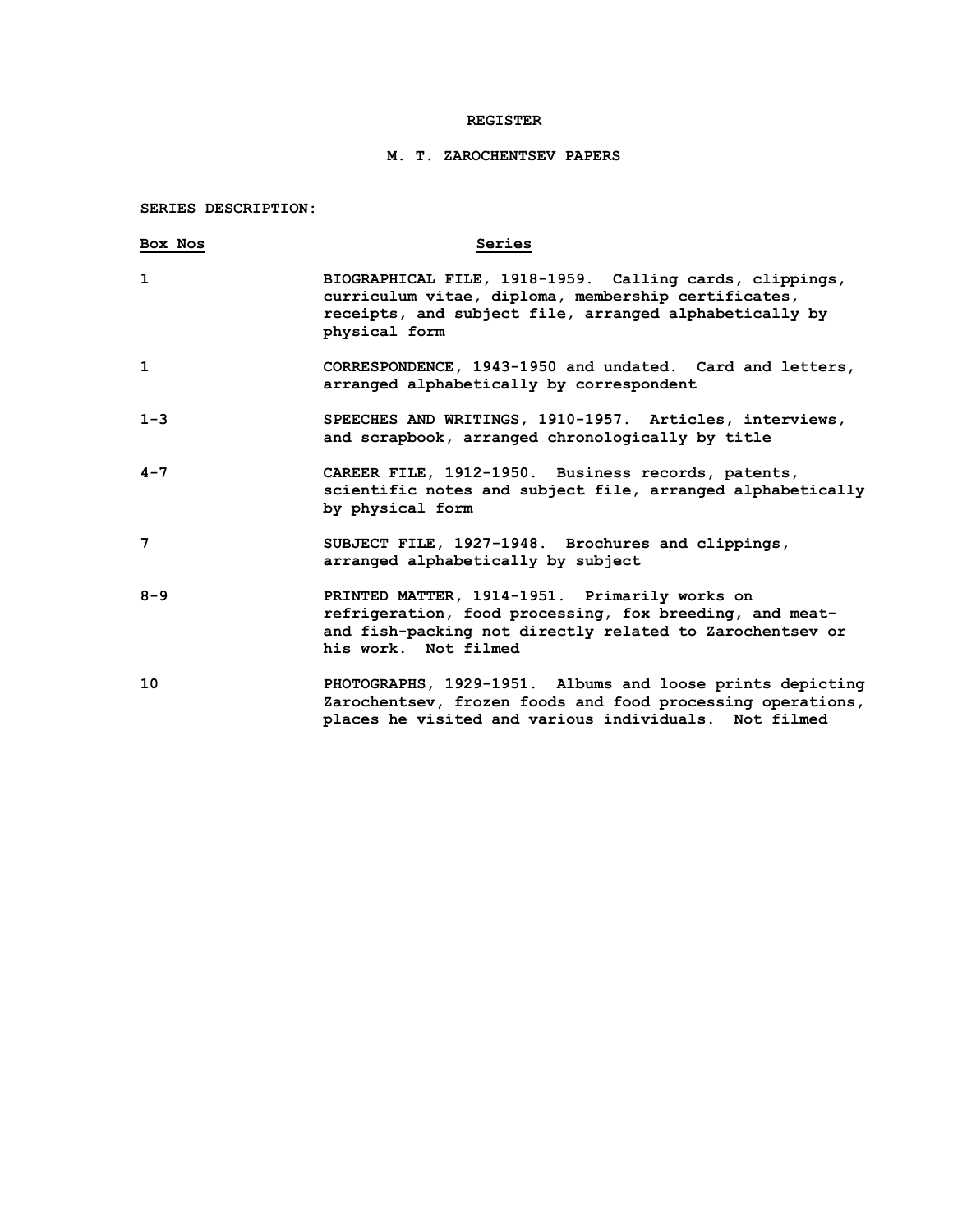### **REGISTER**

## **M. T. ZAROCHENTSEV PAPERS**

**SERIES DESCRIPTION:**

| Box Nos      | Series                                                                                                                                                                                       |
|--------------|----------------------------------------------------------------------------------------------------------------------------------------------------------------------------------------------|
| $\mathbf{1}$ | BIOGRAPHICAL FILE, 1918-1959. Calling cards, clippings,<br>curriculum vitae, diploma, membership certificates,<br>receipts, and subject file, arranged alphabetically by<br>physical form    |
| 1            | CORRESPONDENCE, 1943-1950 and undated. Card and letters,<br>arranged alphabetically by correspondent                                                                                         |
| $1 - 3$      | SPEECHES AND WRITINGS, 1910-1957. Articles, interviews,<br>and scrapbook, arranged chronologically by title                                                                                  |
| $4 - 7$      | CAREER FILE, 1912-1950. Business records, patents,<br>scientific notes and subject file, arranged alphabetically<br>by physical form                                                         |
| 7            | SUBJECT FILE, 1927-1948. Brochures and clippings,<br>arranged alphabetically by subject                                                                                                      |
| $8 - 9$      | PRINTED MATTER, 1914-1951. Primarily works on<br>refrigeration, food processing, fox breeding, and meat-<br>and fish-packing not directly related to Zarochentsev or<br>his work. Not filmed |
| 10           | PHOTOGRAPHS, 1929-1951. Albums and loose prints depicting<br>Zarochentsev, frozen foods and food processing operations,<br>places he visited and various individuals. Not filmed             |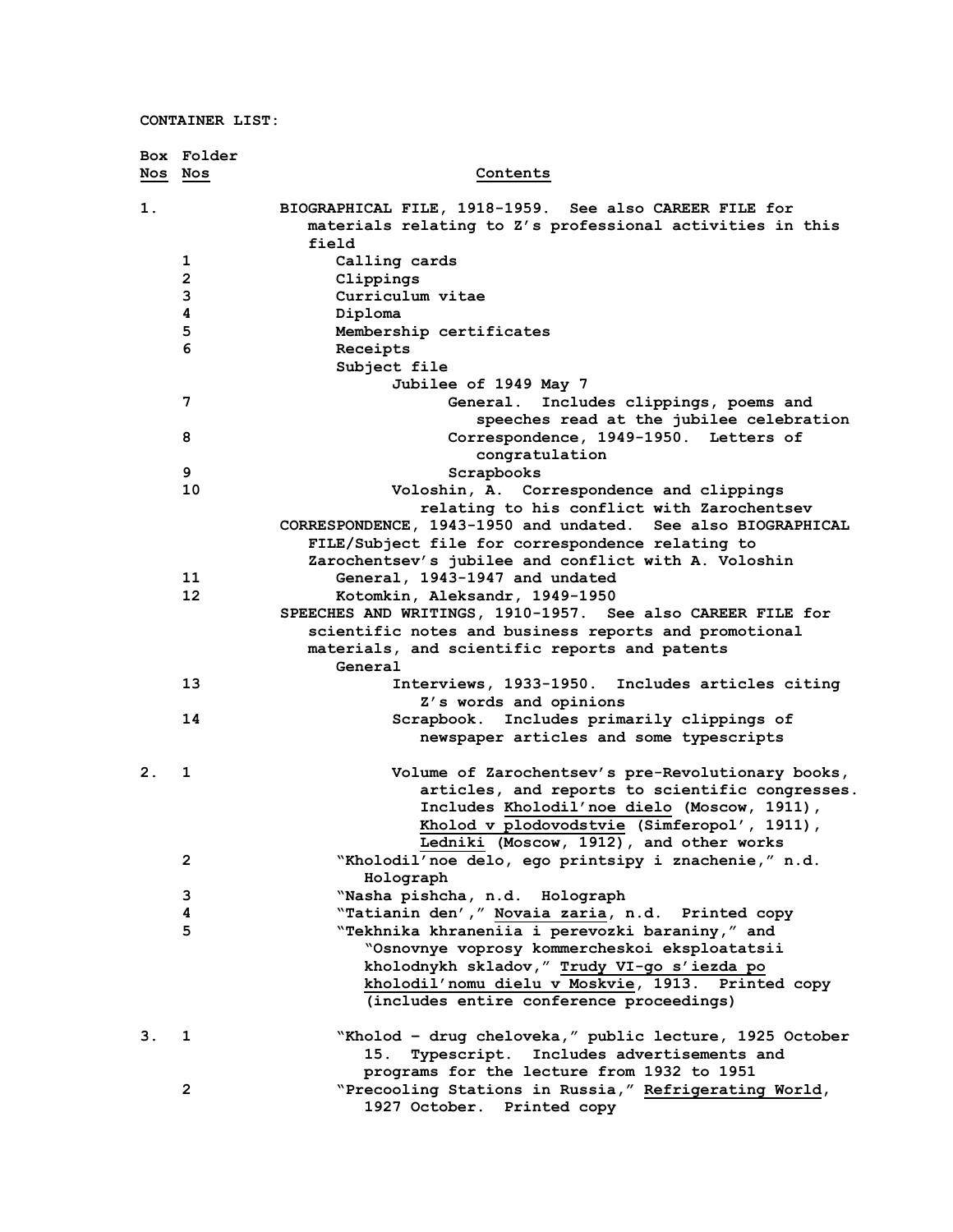|         | Box Folder              |                                                                                                                              |
|---------|-------------------------|------------------------------------------------------------------------------------------------------------------------------|
| Nos Nos |                         | Contents                                                                                                                     |
| 1.      |                         | BIOGRAPHICAL FILE, 1918-1959. See also CAREER FILE for<br>materials relating to Z's professional activities in this<br>field |
|         | 1                       | Calling cards                                                                                                                |
|         | $\overline{\mathbf{c}}$ | Clippings                                                                                                                    |
|         | 3                       | Curriculum vitae                                                                                                             |
|         | 4                       | Diploma                                                                                                                      |
|         | 5                       | Membership certificates                                                                                                      |
|         | 6                       | Receipts                                                                                                                     |
|         |                         | Subject file                                                                                                                 |
|         |                         | Jubilee of 1949 May 7                                                                                                        |
|         | 7                       | General.<br>Includes clippings, poems and                                                                                    |
|         |                         | speeches read at the jubilee celebration                                                                                     |
|         | 8                       | Correspondence, 1949-1950. Letters of<br>congratulation                                                                      |
|         | 9                       | Scrapbooks                                                                                                                   |
|         | 10                      | Voloshin, A. Correspondence and clippings                                                                                    |
|         |                         | relating to his conflict with Zarochentsev                                                                                   |
|         |                         | CORRESPONDENCE, 1943-1950 and undated. See also BIOGRAPHICAL                                                                 |
|         |                         | FILE/Subject file for correspondence relating to                                                                             |
|         |                         | Zarochentsev's jubilee and conflict with A. Voloshin                                                                         |
|         | 11                      | General, 1943-1947 and undated                                                                                               |
|         | 12                      | Kotomkin, Aleksandr, 1949-1950                                                                                               |
|         |                         | SPEECHES AND WRITINGS, 1910-1957. See also CAREER FILE for                                                                   |
|         |                         | scientific notes and business reports and promotional                                                                        |
|         |                         | materials, and scientific reports and patents<br>General                                                                     |
|         | 13                      | Interviews, 1933-1950. Includes articles citing                                                                              |
|         |                         | Z's words and opinions                                                                                                       |
|         | 14                      | Scrapbook. Includes primarily clippings of                                                                                   |
|         |                         | newspaper articles and some typescripts                                                                                      |
| 2.      | 1                       | Volume of Zarochentsev's pre-Revolutionary books,                                                                            |
|         |                         | articles, and reports to scientific congresses.                                                                              |
|         |                         | Includes Kholodil'noe dielo (Moscow, 1911),                                                                                  |
|         |                         | Kholod v plodovodstvie (Simferopol', 1911),                                                                                  |
|         |                         | Ledniki (Moscow, 1912), and other works                                                                                      |
|         | $\mathbf{2}$            | "Kholodil'noe delo, ego printsipy i znachenie," n.d.                                                                         |
|         |                         | Holograph                                                                                                                    |
|         | 3                       | "Nasha pishcha, n.d. Holograph                                                                                               |
|         | 4                       | "Tatianin den', " Novaia zaria, n.d. Printed copy                                                                            |
|         | 5                       | "Tekhnika khraneniia i perevozki baraniny," and                                                                              |
|         |                         | "Osnovnye voprosy kommercheskoi eksploatatsii                                                                                |
|         |                         | kholodnykh skladov," Trudy VI-go s'iezda po                                                                                  |
|         |                         | kholodil'nomu dielu v Moskvie, 1913. Printed copy                                                                            |
|         |                         | (includes entire conference proceedings)                                                                                     |
| 3.      | 1                       | "Kholod - drug cheloveka," public lecture, 1925 October                                                                      |
|         |                         | Typescript. Includes advertisements and<br>15.                                                                               |
|         |                         | programs for the lecture from 1932 to 1951                                                                                   |
|         | $\mathbf{2}$            | "Precooling Stations in Russia," Refrigerating World,                                                                        |
|         |                         | 1927 October. Printed copy                                                                                                   |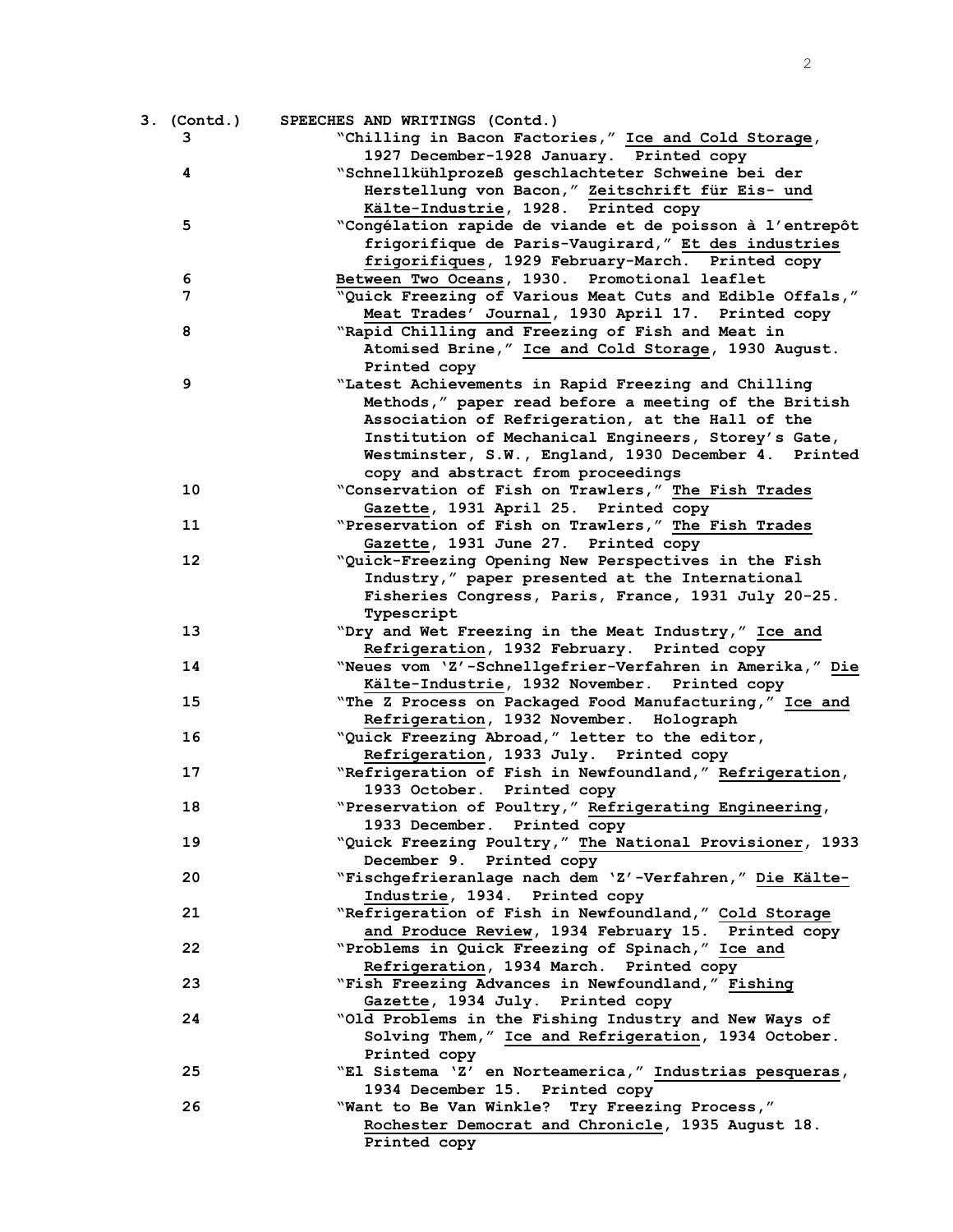| 3. (Contd.) | SPEECHES AND WRITINGS (Contd.)                           |
|-------------|----------------------------------------------------------|
| 3           | "Chilling in Bacon Factories," Ice and Cold Storage,     |
|             | 1927 December-1928 January. Printed copy                 |
| 4           | "Schnellkühlprozeß geschlachteter Schweine bei der       |
|             | Herstellung von Bacon," Zeitschrift für Eis- und         |
|             | Kälte-Industrie, 1928. Printed copy                      |
| 5           | "Congélation rapide de viande et de poisson à l'entrepôt |
|             | frigorifique de Paris-Vaugirard," Et des industries      |
|             | frigorifiques, 1929 February-March. Printed copy         |
| 6           | Between Two Oceans, 1930. Promotional leaflet            |
| 7           | "Quick Freezing of Various Meat Cuts and Edible Offals," |
|             | Meat Trades' Journal, 1930 April 17. Printed copy        |
| 8           | "Rapid Chilling and Freezing of Fish and Meat in         |
|             | Atomised Brine," Ice and Cold Storage, 1930 August.      |
|             | Printed copy                                             |
| 9           | "Latest Achievements in Rapid Freezing and Chilling      |
|             | Methods," paper read before a meeting of the British     |
|             | Association of Refrigeration, at the Hall of the         |
|             | Institution of Mechanical Engineers, Storey's Gate,      |
|             | Westminster, S.W., England, 1930 December 4. Printed     |
|             | copy and abstract from proceedings                       |
| 10          | "Conservation of Fish on Trawlers," The Fish Trades      |
|             | Gazette, 1931 April 25. Printed copy                     |
| 11          | "Preservation of Fish on Trawlers," The Fish Trades      |
|             | Gazette, 1931 June 27. Printed copy                      |
| 12          | "Quick-Freezing Opening New Perspectives in the Fish     |
|             | Industry," paper presented at the International          |
|             | Fisheries Congress, Paris, France, 1931 July 20-25.      |
|             |                                                          |
| 13          | Typescript                                               |
|             | "Dry and Wet Freezing in the Meat Industry," Ice and     |
|             | Refrigeration, 1932 February. Printed copy               |
| 14          | "Neues vom 'Z'-Schnellgefrier-Verfahren in Amerika," Die |
|             | Kälte-Industrie, 1932 November. Printed copy             |
| 15          | "The Z Process on Packaged Food Manufacturing," Ice and  |
|             | Refrigeration, 1932 November. Holograph                  |
| 16          | "Quick Freezing Abroad," letter to the editor,           |
|             | Refrigeration, 1933 July. Printed copy                   |
| 17          | "Refrigeration of Fish in Newfoundland," Refrigeration,  |
|             | 1933 October. Printed copy                               |
| 18          | "Preservation of Poultry," Refrigerating Engineering,    |
|             | 1933 December. Printed copy                              |
| 19          | "Quick Freezing Poultry," The National Provisioner, 1933 |
|             | December 9. Printed copy                                 |
| 20          | "Fischgefrieranlage nach dem 'Z'-Verfahren," Die Kälte-  |
|             | Industrie, 1934. Printed copy                            |
| 21          | "Refrigeration of Fish in Newfoundland," Cold Storage    |
|             | and Produce Review, 1934 February 15. Printed copy       |
| 22          | "Problems in Quick Freezing of Spinach," Ice and         |
|             | Refrigeration, 1934 March. Printed copy                  |
| 23          | "Fish Freezing Advances in Newfoundland," Fishing        |
|             | Gazette, 1934 July. Printed copy                         |
| 24          | "Old Problems in the Fishing Industry and New Ways of    |
|             | Solving Them," Ice and Refrigeration, 1934 October.      |
|             | Printed copy                                             |
| 25          | "El Sistema 'Z' en Norteamerica," Industrias pesqueras,  |
|             | 1934 December 15. Printed copy                           |
| 26          | "Want to Be Van Winkle? Try Freezing Process,"           |
|             | Rochester Democrat and Chronicle, 1935 August 18.        |
|             | Printed copy                                             |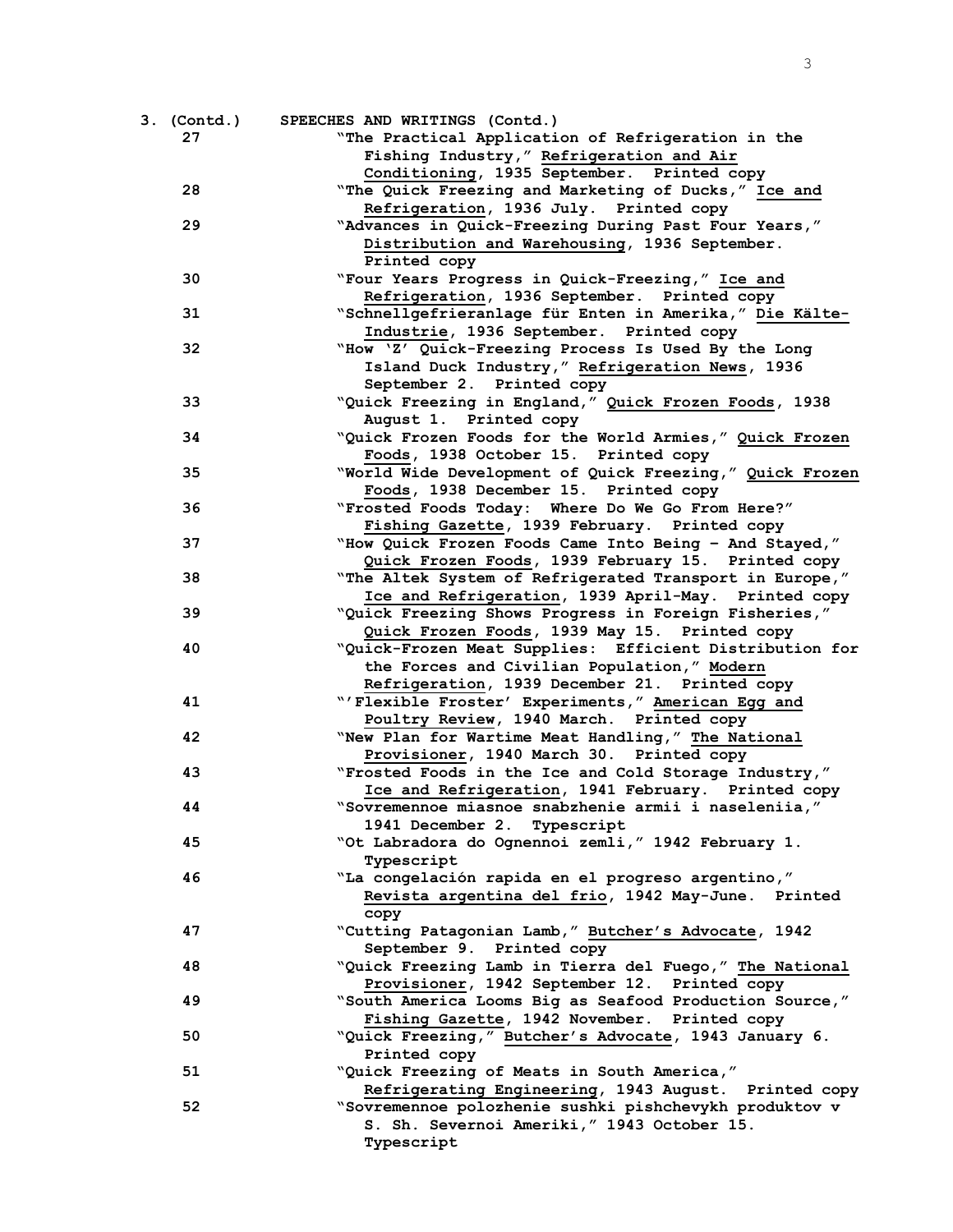| 3. (Contd.)<br>27 | SPEECHES AND WRITINGS (Contd.)<br>"The Practical Application of Refrigeration in the                           |
|-------------------|----------------------------------------------------------------------------------------------------------------|
|                   | Fishing Industry," Refrigeration and Air<br>Conditioning, 1935 September. Printed copy                         |
| 28                | "The Quick Freezing and Marketing of Ducks," Ice and<br>Refrigeration, 1936 July. Printed copy                 |
| 29                | "Advances in Quick-Freezing During Past Four Years,"                                                           |
|                   | Distribution and Warehousing, 1936 September.                                                                  |
|                   | Printed copy                                                                                                   |
| 30                | "Four Years Progress in Quick-Freezing," Ice and                                                               |
| 31                | Refrigeration, 1936 September. Printed copy<br>"Schnellgefrieranlage für Enten in Amerika," Die Kälte-         |
|                   | Industrie, 1936 September. Printed copy                                                                        |
| 32                | "How 'Z' Quick-Freezing Process Is Used By the Long                                                            |
|                   | Island Duck Industry," Refrigeration News, 1936                                                                |
|                   | September 2. Printed copy                                                                                      |
| 33                | "Quick Freezing in England," Quick Frozen Foods, 1938                                                          |
|                   | August 1. Printed copy                                                                                         |
| 34                | "Quick Frozen Foods for the World Armies," Quick Frozen                                                        |
|                   | Foods, 1938 October 15. Printed copy                                                                           |
| 35                | "World Wide Development of Quick Freezing," Quick Frozen                                                       |
|                   | Foods, 1938 December 15. Printed copy                                                                          |
| 36                | "Frosted Foods Today: Where Do We Go From Here?"                                                               |
|                   | Fishing Gazette, 1939 February. Printed copy                                                                   |
| 37                | "How Quick Frozen Foods Came Into Being - And Stayed,"                                                         |
| 38                | Quick Frozen Foods, 1939 February 15. Printed copy                                                             |
|                   | "The Altek System of Refrigerated Transport in Europe,"<br>Ice and Refrigeration, 1939 April-May. Printed copy |
| 39                | "Quick Freezing Shows Progress in Foreign Fisheries,"                                                          |
|                   | Quick Frozen Foods, 1939 May 15. Printed copy                                                                  |
| 40                | "Quick-Frozen Meat Supplies: Efficient Distribution for                                                        |
|                   | the Forces and Civilian Population," Modern                                                                    |
|                   | Refrigeration, 1939 December 21. Printed copy                                                                  |
| 41                | "'Flexible Froster' Experiments," American Egg and                                                             |
|                   | Poultry Review, 1940 March. Printed copy                                                                       |
| 42                | "New Plan for Wartime Meat Handling," The National                                                             |
|                   | Provisioner, 1940 March 30. Printed copy                                                                       |
| 43                | "Frosted Foods in the Ice and Cold Storage Industry,"                                                          |
|                   | Ice and Refrigeration, 1941 February. Printed copy                                                             |
| 44                | "Sovremennoe miasnoe snabzhenie armii i naseleniia,"                                                           |
|                   | 1941 December 2.<br>Typescript                                                                                 |
| 45                | "Ot Labradora do Ognennoi zemli, " 1942 February 1.                                                            |
| 46                | Typescript<br>"La congelación rapida en el progreso argentino,"                                                |
|                   | Revista argentina del frio, 1942 May-June. Printed                                                             |
|                   | copy                                                                                                           |
| 47                | "Cutting Patagonian Lamb," Butcher's Advocate, 1942                                                            |
|                   | September 9. Printed copy                                                                                      |
| 48                | "Quick Freezing Lamb in Tierra del Fuego," The National                                                        |
|                   | Provisioner, 1942 September 12. Printed copy                                                                   |
| 49                | "South America Looms Big as Seafood Production Source,"                                                        |
|                   | Fishing Gazette, 1942 November. Printed copy                                                                   |
| 50                | "Quick Freezing," Butcher's Advocate, 1943 January 6.                                                          |
|                   | Printed copy                                                                                                   |
| 51                | "Quick Freezing of Meats in South America,"                                                                    |
|                   | Refrigerating Engineering, 1943 August. Printed copy                                                           |
| 52                | "Sovremennoe polozhenie sushki pishchevykh produktov v                                                         |
|                   | S. Sh. Severnoi Ameriki, " 1943 October 15.                                                                    |
|                   | Typescript                                                                                                     |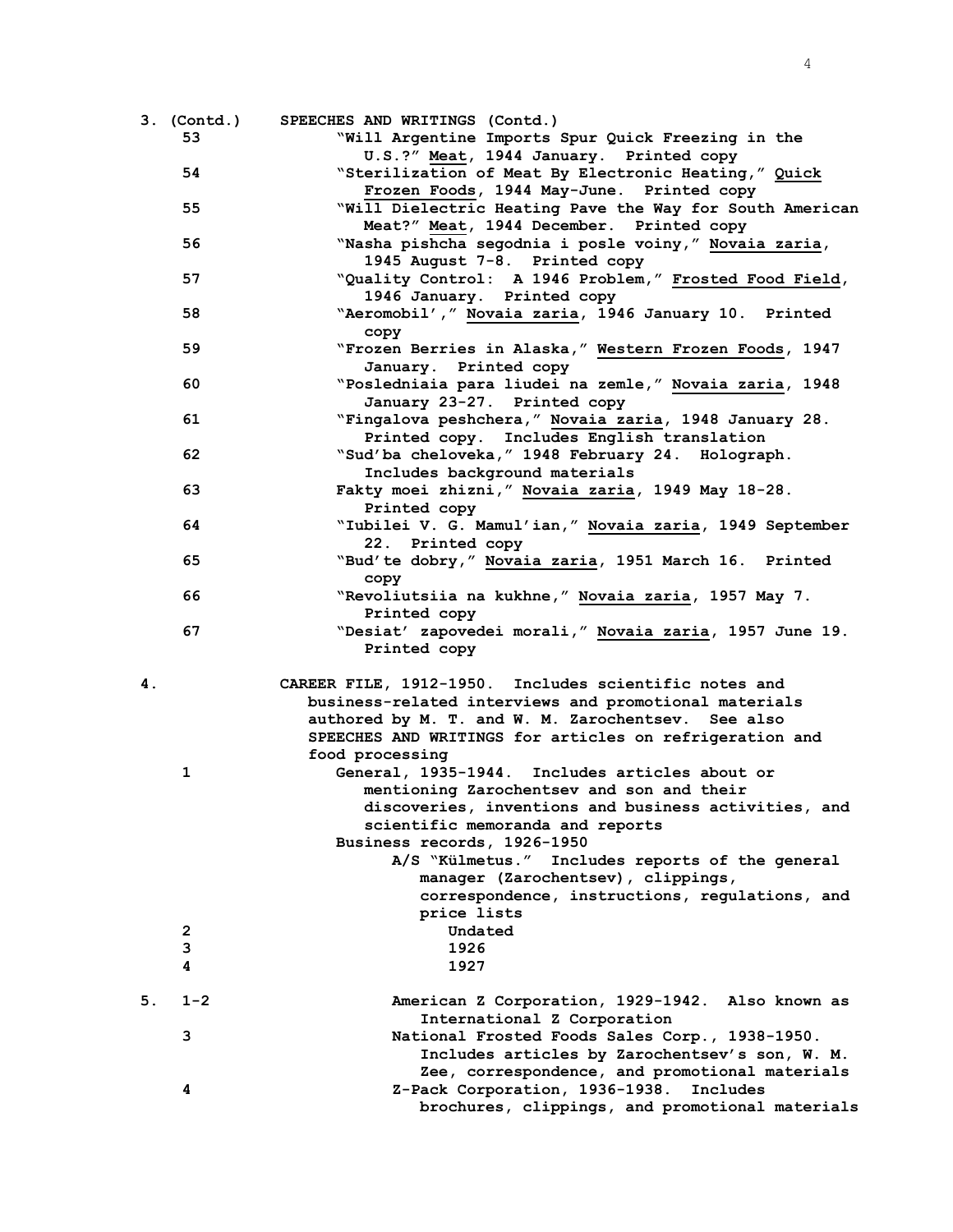|    | $3.$ (Contd.) | SPEECHES AND WRITINGS (Contd.)                           |
|----|---------------|----------------------------------------------------------|
|    | 53            | "Will Argentine Imports Spur Quick Freezing in the       |
|    |               | U.S.?" Meat, 1944 January. Printed copy                  |
|    | 54            | "Sterilization of Meat By Electronic Heating," Quick     |
|    |               | Frozen Foods, 1944 May-June. Printed copy                |
|    | 55            | "Will Dielectric Heating Pave the Way for South American |
|    |               | Meat?" Meat, 1944 December. Printed copy                 |
|    | 56            | "Nasha pishcha segodnia i posle voiny," Novaia zaria,    |
|    |               | 1945 August 7-8. Printed copy                            |
|    | 57            | "Quality Control: A 1946 Problem," Frosted Food Field,   |
|    |               | 1946 January. Printed copy                               |
|    | 58            | "Aeromobil'," Novaia zaria, 1946 January 10. Printed     |
|    |               | copy                                                     |
|    | 59            | "Frozen Berries in Alaska," Western Frozen Foods, 1947   |
|    |               | January. Printed copy                                    |
|    | 60            | "Posledniaia para liudei na zemle," Novaia zaria, 1948   |
|    |               | January 23-27. Printed copy                              |
|    | 61            | "Fingalova peshchera," Novaia zaria, 1948 January 28.    |
|    |               | Printed copy. Includes English translation               |
|    | 62            | "Sud'ba cheloveka, " 1948 February 24. Holograph.        |
|    |               | Includes background materials                            |
|    | 63            | Fakty moei zhizni, " Novaia zaria, 1949 May 18-28.       |
|    |               | Printed copy                                             |
|    | 64            | "Iubilei V. G. Mamul'ian," Novaia zaria, 1949 September  |
|    |               | 22. Printed copy                                         |
|    | 65            | "Bud'te dobry," Novaia zaria, 1951 March 16. Printed     |
|    |               | copy                                                     |
|    | 66            | "Revoliutsiia na kukhne, " Novaia zaria, 1957 May 7.     |
|    |               | Printed copy                                             |
|    | 67            | "Desiat' zapovedei morali," Novaia zaria, 1957 June 19.  |
|    |               | Printed copy                                             |
|    |               |                                                          |
| 4. |               | CAREER FILE, 1912-1950. Includes scientific notes and    |
|    |               | business-related interviews and promotional materials    |
|    |               | authored by M. T. and W. M. Zarochentsev. See also       |
|    |               | SPEECHES AND WRITINGS for articles on refrigeration and  |
|    |               | food processing                                          |
|    | 1             | General, 1935-1944. Includes articles about or           |
|    |               | mentioning Zarochentsev and son and their                |
|    |               | discoveries, inventions and business activities, and     |
|    |               | scientific memoranda and reports                         |
|    |               | Business records, 1926-1950                              |
|    |               | A/S "Külmetus." Includes reports of the general          |
|    |               | manager (Zarochentsev), clippings,                       |
|    |               | correspondence, instructions, regulations, and           |
|    |               | price lists                                              |
|    | 2             | Undated                                                  |
|    | 3             | 1926                                                     |
|    | 4             | 1927                                                     |
| 5. | $1 - 2$       | American Z Corporation, 1929-1942.<br>Also known as      |
|    |               | International Z Corporation                              |
|    | 3             | National Frosted Foods Sales Corp., 1938-1950.           |
|    |               | Includes articles by Zarochentsev's son, W. M.           |
|    |               | Zee, correspondence, and promotional materials           |
|    | 4             | Z-Pack Corporation, 1936-1938.<br>Includes               |
|    |               | brochures, clippings, and promotional materials          |
|    |               |                                                          |